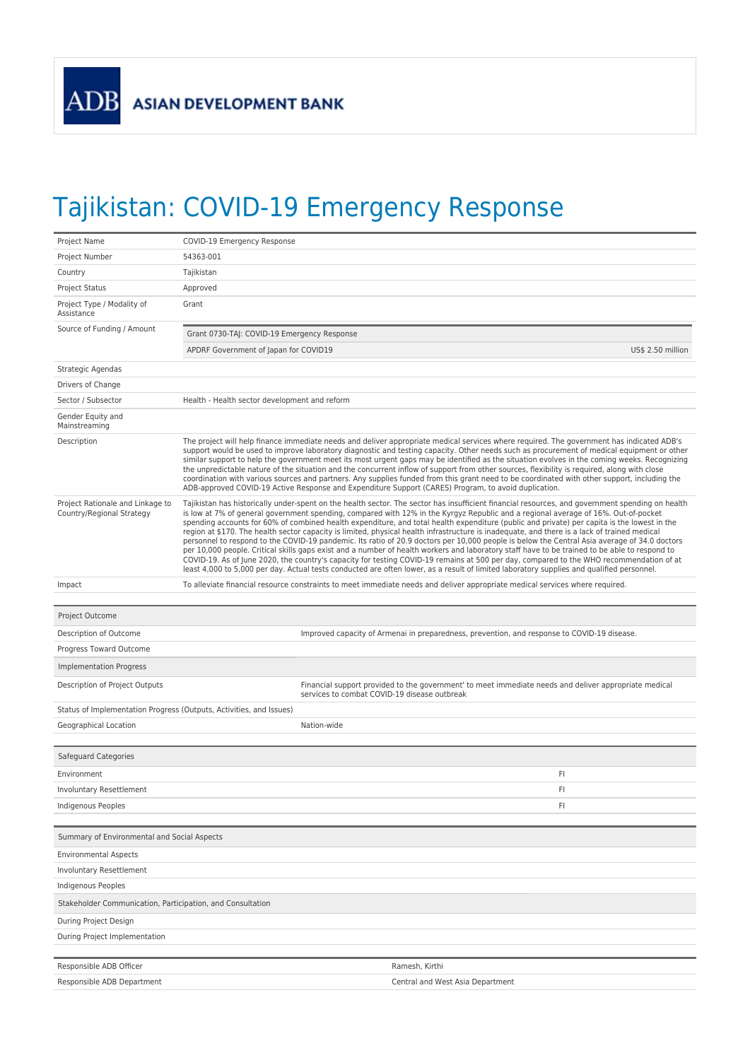## Tajikistan: COVID-19 Emergency Response

| Project Name                                                        | COVID-19 Emergency Response                                                                                                                                                                                                                                                                                                                                                                                                                                                                                                                                                                                                                                                                                                                                                                                                                                                                                                                                                                                                                                                                                                                                                    |  |  |
|---------------------------------------------------------------------|--------------------------------------------------------------------------------------------------------------------------------------------------------------------------------------------------------------------------------------------------------------------------------------------------------------------------------------------------------------------------------------------------------------------------------------------------------------------------------------------------------------------------------------------------------------------------------------------------------------------------------------------------------------------------------------------------------------------------------------------------------------------------------------------------------------------------------------------------------------------------------------------------------------------------------------------------------------------------------------------------------------------------------------------------------------------------------------------------------------------------------------------------------------------------------|--|--|
| Project Number                                                      | 54363-001                                                                                                                                                                                                                                                                                                                                                                                                                                                                                                                                                                                                                                                                                                                                                                                                                                                                                                                                                                                                                                                                                                                                                                      |  |  |
| Country                                                             | Tajikistan                                                                                                                                                                                                                                                                                                                                                                                                                                                                                                                                                                                                                                                                                                                                                                                                                                                                                                                                                                                                                                                                                                                                                                     |  |  |
| <b>Project Status</b>                                               | Approved                                                                                                                                                                                                                                                                                                                                                                                                                                                                                                                                                                                                                                                                                                                                                                                                                                                                                                                                                                                                                                                                                                                                                                       |  |  |
| Project Type / Modality of<br>Assistance                            | Grant                                                                                                                                                                                                                                                                                                                                                                                                                                                                                                                                                                                                                                                                                                                                                                                                                                                                                                                                                                                                                                                                                                                                                                          |  |  |
| Source of Funding / Amount                                          | Grant 0730-TAJ: COVID-19 Emergency Response                                                                                                                                                                                                                                                                                                                                                                                                                                                                                                                                                                                                                                                                                                                                                                                                                                                                                                                                                                                                                                                                                                                                    |  |  |
|                                                                     | APDRF Government of Japan for COVID19<br>US\$ 2.50 million                                                                                                                                                                                                                                                                                                                                                                                                                                                                                                                                                                                                                                                                                                                                                                                                                                                                                                                                                                                                                                                                                                                     |  |  |
| Strategic Agendas                                                   |                                                                                                                                                                                                                                                                                                                                                                                                                                                                                                                                                                                                                                                                                                                                                                                                                                                                                                                                                                                                                                                                                                                                                                                |  |  |
| Drivers of Change                                                   |                                                                                                                                                                                                                                                                                                                                                                                                                                                                                                                                                                                                                                                                                                                                                                                                                                                                                                                                                                                                                                                                                                                                                                                |  |  |
| Sector / Subsector                                                  | Health - Health sector development and reform                                                                                                                                                                                                                                                                                                                                                                                                                                                                                                                                                                                                                                                                                                                                                                                                                                                                                                                                                                                                                                                                                                                                  |  |  |
| Gender Equity and<br>Mainstreaming                                  |                                                                                                                                                                                                                                                                                                                                                                                                                                                                                                                                                                                                                                                                                                                                                                                                                                                                                                                                                                                                                                                                                                                                                                                |  |  |
| Description                                                         | The project will help finance immediate needs and deliver appropriate medical services where required. The government has indicated ADB's<br>support would be used to improve laboratory diagnostic and testing capacity. Other needs such as procurement of medical equipment or other<br>similar support to help the government meet its most urgent gaps may be identified as the situation evolves in the coming weeks. Recognizing<br>the unpredictable nature of the situation and the concurrent inflow of support from other sources, flexibility is required, along with close<br>coordination with various sources and partners. Any supplies funded from this grant need to be coordinated with other support, including the<br>ADB-approved COVID-19 Active Response and Expenditure Support (CARES) Program, to avoid duplication.                                                                                                                                                                                                                                                                                                                                |  |  |
| Project Rationale and Linkage to<br>Country/Regional Strategy       | Tajikistan has historically under-spent on the health sector. The sector has insufficient financial resources, and government spending on health<br>is low at 7% of general government spending, compared with 12% in the Kyrgyz Republic and a regional average of 16%. Out-of-pocket<br>spending accounts for 60% of combined health expenditure, and total health expenditure (public and private) per capita is the lowest in the<br>region at \$170. The health sector capacity is limited, physical health infrastructure is inadequate, and there is a lack of trained medical<br>personnel to respond to the COVID-19 pandemic. Its ratio of 20.9 doctors per 10,000 people is below the Central Asia average of 34.0 doctors<br>per 10,000 people. Critical skills gaps exist and a number of health workers and laboratory staff have to be trained to be able to respond to<br>COVID-19. As of June 2020, the country's capacity for testing COVID-19 remains at 500 per day, compared to the WHO recommendation of at<br>least 4,000 to 5,000 per day. Actual tests conducted are often lower, as a result of limited laboratory supplies and qualified personnel. |  |  |
| Impact                                                              | To alleviate financial resource constraints to meet immediate needs and deliver appropriate medical services where required.                                                                                                                                                                                                                                                                                                                                                                                                                                                                                                                                                                                                                                                                                                                                                                                                                                                                                                                                                                                                                                                   |  |  |
|                                                                     |                                                                                                                                                                                                                                                                                                                                                                                                                                                                                                                                                                                                                                                                                                                                                                                                                                                                                                                                                                                                                                                                                                                                                                                |  |  |
| Project Outcome                                                     |                                                                                                                                                                                                                                                                                                                                                                                                                                                                                                                                                                                                                                                                                                                                                                                                                                                                                                                                                                                                                                                                                                                                                                                |  |  |
| Description of Outcome                                              | Improved capacity of Armenai in preparedness, prevention, and response to COVID-19 disease.                                                                                                                                                                                                                                                                                                                                                                                                                                                                                                                                                                                                                                                                                                                                                                                                                                                                                                                                                                                                                                                                                    |  |  |
| Progress Toward Outcome                                             |                                                                                                                                                                                                                                                                                                                                                                                                                                                                                                                                                                                                                                                                                                                                                                                                                                                                                                                                                                                                                                                                                                                                                                                |  |  |
| <b>Implementation Progress</b>                                      |                                                                                                                                                                                                                                                                                                                                                                                                                                                                                                                                                                                                                                                                                                                                                                                                                                                                                                                                                                                                                                                                                                                                                                                |  |  |
| Description of Project Outputs                                      | Financial support provided to the government' to meet immediate needs and deliver appropriate medical<br>services to combat COVID-19 disease outbreak                                                                                                                                                                                                                                                                                                                                                                                                                                                                                                                                                                                                                                                                                                                                                                                                                                                                                                                                                                                                                          |  |  |
| Status of Implementation Progress (Outputs, Activities, and Issues) |                                                                                                                                                                                                                                                                                                                                                                                                                                                                                                                                                                                                                                                                                                                                                                                                                                                                                                                                                                                                                                                                                                                                                                                |  |  |
| Geographical Location                                               | Nation-wide                                                                                                                                                                                                                                                                                                                                                                                                                                                                                                                                                                                                                                                                                                                                                                                                                                                                                                                                                                                                                                                                                                                                                                    |  |  |
|                                                                     |                                                                                                                                                                                                                                                                                                                                                                                                                                                                                                                                                                                                                                                                                                                                                                                                                                                                                                                                                                                                                                                                                                                                                                                |  |  |
| Safeguard Categories                                                |                                                                                                                                                                                                                                                                                                                                                                                                                                                                                                                                                                                                                                                                                                                                                                                                                                                                                                                                                                                                                                                                                                                                                                                |  |  |
| Environment                                                         | FI                                                                                                                                                                                                                                                                                                                                                                                                                                                                                                                                                                                                                                                                                                                                                                                                                                                                                                                                                                                                                                                                                                                                                                             |  |  |
| Involuntary Resettlement                                            | FI.                                                                                                                                                                                                                                                                                                                                                                                                                                                                                                                                                                                                                                                                                                                                                                                                                                                                                                                                                                                                                                                                                                                                                                            |  |  |
| <b>Indigenous Peoples</b>                                           | FI                                                                                                                                                                                                                                                                                                                                                                                                                                                                                                                                                                                                                                                                                                                                                                                                                                                                                                                                                                                                                                                                                                                                                                             |  |  |
|                                                                     |                                                                                                                                                                                                                                                                                                                                                                                                                                                                                                                                                                                                                                                                                                                                                                                                                                                                                                                                                                                                                                                                                                                                                                                |  |  |
| Summary of Environmental and Social Aspects                         |                                                                                                                                                                                                                                                                                                                                                                                                                                                                                                                                                                                                                                                                                                                                                                                                                                                                                                                                                                                                                                                                                                                                                                                |  |  |
| <b>Environmental Aspects</b>                                        |                                                                                                                                                                                                                                                                                                                                                                                                                                                                                                                                                                                                                                                                                                                                                                                                                                                                                                                                                                                                                                                                                                                                                                                |  |  |
| <b>Involuntary Resettlement</b>                                     |                                                                                                                                                                                                                                                                                                                                                                                                                                                                                                                                                                                                                                                                                                                                                                                                                                                                                                                                                                                                                                                                                                                                                                                |  |  |
| Indigenous Peoples                                                  |                                                                                                                                                                                                                                                                                                                                                                                                                                                                                                                                                                                                                                                                                                                                                                                                                                                                                                                                                                                                                                                                                                                                                                                |  |  |
| Stakeholder Communication, Participation, and Consultation          |                                                                                                                                                                                                                                                                                                                                                                                                                                                                                                                                                                                                                                                                                                                                                                                                                                                                                                                                                                                                                                                                                                                                                                                |  |  |
| During Project Design                                               |                                                                                                                                                                                                                                                                                                                                                                                                                                                                                                                                                                                                                                                                                                                                                                                                                                                                                                                                                                                                                                                                                                                                                                                |  |  |
| During Project Implementation                                       |                                                                                                                                                                                                                                                                                                                                                                                                                                                                                                                                                                                                                                                                                                                                                                                                                                                                                                                                                                                                                                                                                                                                                                                |  |  |
| Responsible ADB Officer                                             | Ramesh, Kirthi                                                                                                                                                                                                                                                                                                                                                                                                                                                                                                                                                                                                                                                                                                                                                                                                                                                                                                                                                                                                                                                                                                                                                                 |  |  |
| Responsible ADB Department                                          | Central and West Asia Department                                                                                                                                                                                                                                                                                                                                                                                                                                                                                                                                                                                                                                                                                                                                                                                                                                                                                                                                                                                                                                                                                                                                               |  |  |
|                                                                     |                                                                                                                                                                                                                                                                                                                                                                                                                                                                                                                                                                                                                                                                                                                                                                                                                                                                                                                                                                                                                                                                                                                                                                                |  |  |